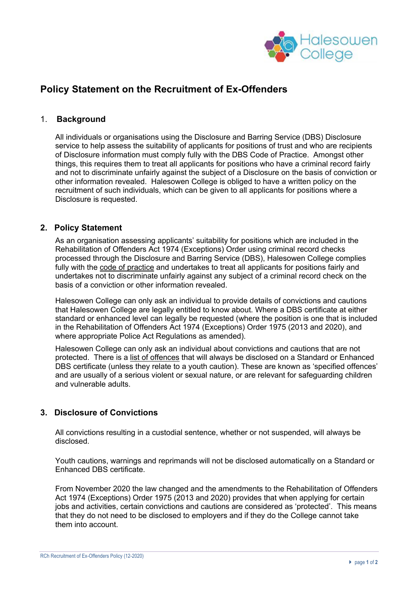

# **Policy Statement on the Recruitment of Ex-Offenders**

# 1. **Background**

All individuals or organisations using the Disclosure and Barring Service (DBS) Disclosure service to help assess the suitability of applicants for positions of trust and who are recipients of Disclosure information must comply fully with the DBS Code of Practice. Amongst other things, this requires them to treat all applicants for positions who have a criminal record fairly and not to discriminate unfairly against the subject of a Disclosure on the basis of conviction or other information revealed. Halesowen College is obliged to have a written policy on the recruitment of such individuals, which can be given to all applicants for positions where a Disclosure is requested.

### **2. Policy Statement**

As an organisation assessing applicants' suitability for positions which are included in the Rehabilitation of Offenders Act 1974 (Exceptions) Order using criminal record checks processed through the Disclosure and Barring Service (DBS), Halesowen College complies fully with the code of practice and undertakes to treat all applicants for positions fairly and undertakes not to discriminate unfairly against any subject of a criminal record check on the basis of a conviction or other information revealed.

Halesowen College can only ask an individual to provide details of convictions and cautions that Halesowen College are legally entitled to know about. Where a DBS certificate at either standard or enhanced level can legally be requested (where the position is one that is included in the Rehabilitation of Offenders Act 1974 (Exceptions) Order 1975 (2013 and 2020), and where appropriate Police Act Regulations as amended).

Halesowen College can only ask an individual about convictions and cautions that are not protected. There is a list of offences that will always be disclosed on a Standard or Enhanced DBS certificate (unless they relate to a youth caution). These are known as 'specified offences' and are usually of a serious violent or sexual nature, or are relevant for safeguarding children and vulnerable adults.

# **3. Disclosure of Convictions**

All convictions resulting in a custodial sentence, whether or not suspended, will always be disclosed.

Youth cautions, warnings and reprimands will not be disclosed automatically on a Standard or Enhanced DBS certificate.

From November 2020 the law changed and the amendments to the Rehabilitation of Offenders Act 1974 (Exceptions) Order 1975 (2013 and 2020) provides that when applying for certain jobs and activities, certain convictions and cautions are considered as 'protected'. This means that they do not need to be disclosed to employers and if they do the College cannot take them into account.